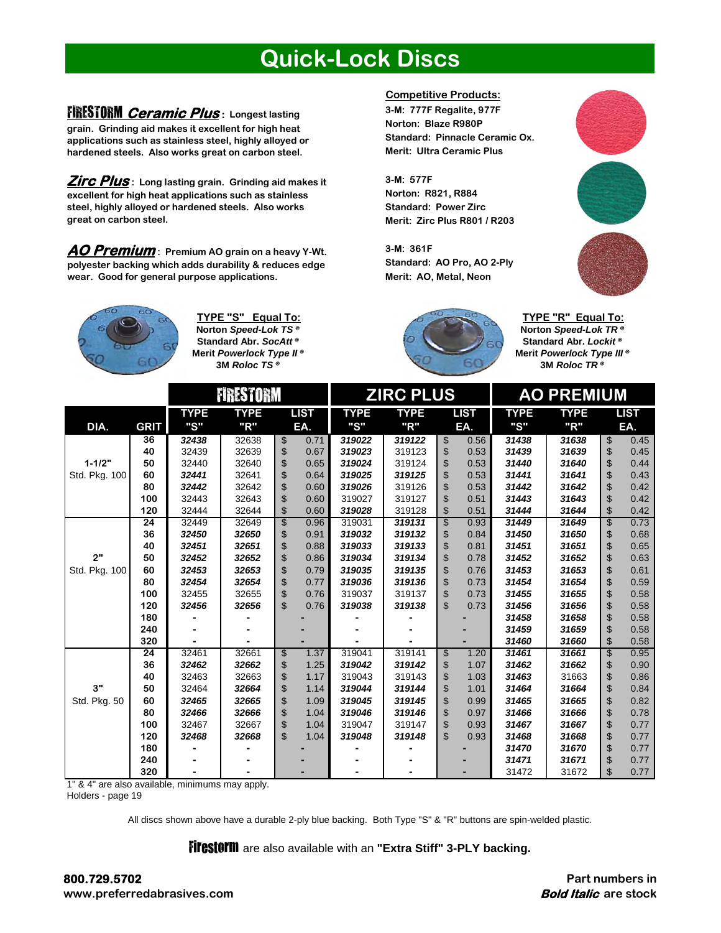#### **Quick-Lock Discs**

#### FIRESTORM **Ceramic Plus : Longest lasting**

**grain. Grinding aid makes it excellent for high heat applications such as stainless steel, highly alloyed or hardened steels. Also works great on carbon steel.** 

**Zirc Plus : Long lasting grain. Grinding aid makes it excellent for high heat applications such as stainless steel, highly alloyed or hardened steels. Also works great on carbon steel.** 

**AO Premium : Premium AO grain on a heavy Y-Wt. polyester backing which adds durability & reduces edge wear. Good for general purpose applications.** 



**Norton** *Speed-Lok TS ®* **3M** *Roloc TS ®* **TYPE "S" Equal To: Standard Abr.** *SocAtt ®* **Merit** *Powerlock Type II ®*

#### **Competitive Products:**

**3-M: 777F Regalite, 977F Norton: Blaze R980P Standard: Pinnacle Ceramic Ox. Merit: Ultra Ceramic Plus**

**3-M: 577F Standard: Power Zirc Merit: Zirc Plus R801 / R203 Norton: R821, R884** 

**3-M: 361F Standard: AO Pro, AO 2-Ply Merit: AO, Metal, Neon**





**TYPE "R" Equal To: Norton** *Speed-Lok TR ®* **Standard Abr.** *Lockit ®* **Merit** *Powerlock Type III ®* **3M** *Roloc TR ®*

|               |                 | <b>FIRESTORM</b> |             |                                  | <b>ZIRC PLUS</b> |             |                        | <b>AO PREMIUM</b> |             |                        |             |
|---------------|-----------------|------------------|-------------|----------------------------------|------------------|-------------|------------------------|-------------------|-------------|------------------------|-------------|
|               |                 | <b>TYPE</b>      | <b>TYPE</b> | <b>LIST</b>                      | <b>TYPE</b>      | <b>TYPE</b> | <b>LIST</b>            | <b>TYPE</b>       | <b>TYPE</b> |                        | <b>LIST</b> |
| DIA.          | <b>GRIT</b>     | "S"              | "R"         | EA.                              | "S"              | "R"         | EA.                    | "S"               | "R"         |                        | EA.         |
|               | 36              | 32438            | 32638       | \$<br>0.71                       | 319022           | 319122      | $\,$<br>0.56           | 31438             | 31638       | \$                     | 0.45        |
|               | 40              | 32439            | 32639       | \$<br>0.67                       | 319023           | 319123      | \$<br>0.53             | 31439             | 31639       | \$                     | 0.45        |
| $1 - 1/2"$    | 50              | 32440            | 32640       | \$<br>0.65                       | 319024           | 319124      | \$<br>0.53             | 31440             | 31640       | \$                     | 0.44        |
| Std. Pkg. 100 | 60              | 32441            | 32641       | \$<br>0.64                       | 319025           | 319125      | \$<br>0.53             | 31441             | 31641       | \$                     | 0.43        |
|               | 80              | 32442            | 32642       | \$<br>0.60                       | 319026           | 319126      | \$<br>0.53             | 31442             | 31642       | \$                     | 0.42        |
|               | 100             | 32443            | 32643       | \$<br>0.60                       | 319027           | 319127      | \$<br>0.51             | 31443             | 31643       | \$                     | 0.42        |
|               | 120             | 32444            | 32644       | \$<br>0.60                       | 319028           | 319128      | \$<br>0.51             | 31444             | 31644       | \$                     | 0.42        |
|               | $\overline{24}$ | 32449            | 32649       | \$<br>0.96                       | 319031           | 319131      | \$<br>0.93             | 31449             | 31649       | \$                     | 0.73        |
|               | 36              | 32450            | 32650       | \$<br>0.91                       | 319032           | 319132      | \$<br>0.84             | 31450             | 31650       | \$                     | 0.68        |
|               | 40              | 32451            | 32651       | \$<br>0.88                       | 319033           | 319133      | \$<br>0.81             | 31451             | 31651       | \$                     | 0.65        |
| 2"            | 50              | 32452            | 32652       | \$<br>0.86                       | 319034           | 319134      | \$<br>0.78             | 31452             | 31652       | \$                     | 0.63        |
| Std. Pkg. 100 | 60              | 32453            | 32653       | \$<br>0.79                       | 319035           | 319135      | \$<br>0.76             | 31453             | 31653       | \$                     | 0.61        |
|               | 80              | 32454            | 32654       | \$<br>0.77                       | 319036           | 319136      | \$<br>0.73             | 31454             | 31654       | \$                     | 0.59        |
|               | 100             | 32455            | 32655       | \$<br>0.76                       | 319037           | 319137      | \$<br>0.73             | 31455             | 31655       | \$                     | 0.58        |
|               | 120             | 32456            | 32656       | $\mathbb{S}$<br>0.76             | 319038           | 319138      | $\mathfrak{S}$<br>0.73 | 31456             | 31656       | \$                     | 0.58        |
|               | 180             |                  |             |                                  |                  |             |                        | 31458             | 31658       | \$                     | 0.58        |
|               | 240             |                  |             |                                  |                  |             |                        | 31459             | 31659       | \$                     | 0.58        |
|               | 320             |                  |             |                                  |                  |             |                        | 31460             | 31660       | \$                     | 0.58        |
|               | 24              | 32461            | 32661       | $\overline{\mathcal{E}}$<br>1.37 | 319041           | 319141      | \$<br>1.20             | 31461             | 31661       | $\mathbf{\mathcal{S}}$ | 0.95        |
|               | 36              | 32462            | 32662       | \$<br>1.25                       | 319042           | 319142      | 1.07<br>\$             | 31462             | 31662       | \$                     | 0.90        |
|               | 40              | 32463            | 32663       | \$<br>1.17                       | 319043           | 319143      | \$<br>1.03             | 31463             | 31663       | \$                     | 0.86        |
| 3"            | 50              | 32464            | 32664       | \$<br>1.14                       | 319044           | 319144      | \$<br>1.01             | 31464             | 31664       | \$                     | 0.84        |
| Std. Pkg. 50  | 60              | 32465            | 32665       | \$<br>1.09                       | 319045           | 319145      | \$<br>0.99             | 31465             | 31665       | \$                     | 0.82        |
|               | 80              | 32466            | 32666       | \$<br>1.04                       | 319046           | 319146      | \$<br>0.97             | 31466             | 31666       | \$                     | 0.78        |
|               | 100             | 32467            | 32667       | \$<br>1.04                       | 319047           | 319147      | \$<br>0.93             | 31467             | 31667       | \$                     | 0.77        |
|               | 120             | 32468            | 32668       | $\mathfrak{L}$<br>1.04           | 319048           | 319148      | \$<br>0.93             | 31468             | 31668       | \$                     | 0.77        |
|               | 180             |                  |             |                                  |                  |             |                        | 31470             | 31670       | \$                     | 0.77        |
|               | 240             |                  |             |                                  |                  |             |                        | 31471             | 31671       | \$                     | 0.77        |
|               | 320             |                  |             |                                  |                  |             |                        | 31472             | 31672       | \$                     | 0.77        |

1" & 4" are also available, minimums may apply.

Holders - page 19

All discs shown above have a durable 2-ply blue backing. Both Type "S" & "R" buttons are spin-welded plastic.

**Firestorm** are also available with an "Extra Stiff" 3-PLY backing.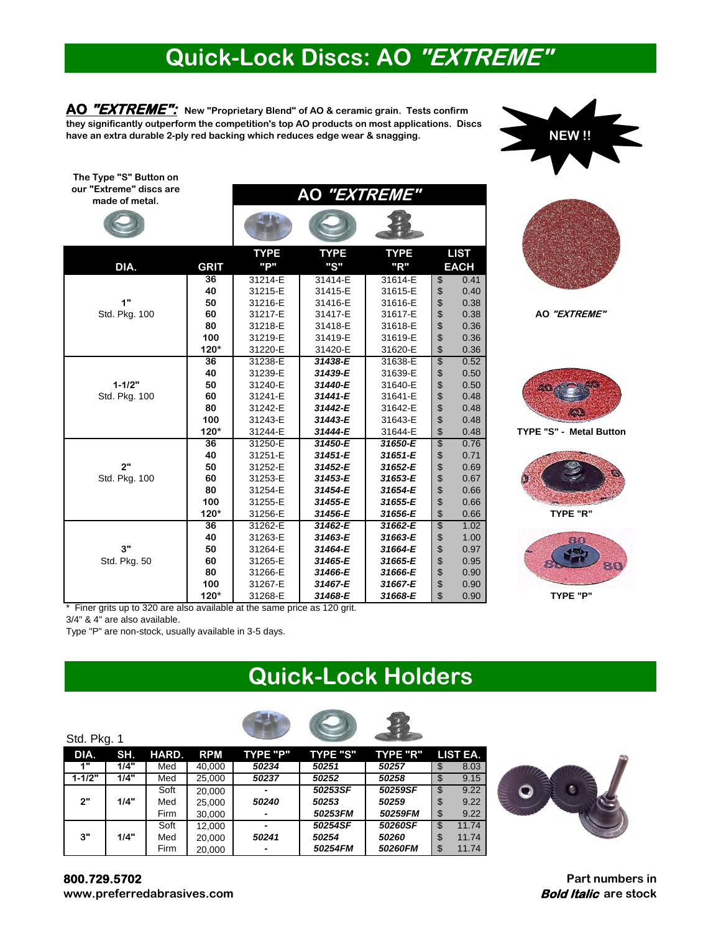# **Quick-Lock Discs: AO "EXTREME"**

**AO "EXTREME"**

**AO "EXTREME": New "Proprietary Blend" of AO & ceramic grain. Tests confirm they significantly outperform the competition's top AO products on most applications. Discs have an extra durable 2-ply red backing which reduces edge wear & snagging.**

**NEW !!** 

**The Type "S" Button on our "Extreme" discs are made of metal.**

| <b>TYPE</b><br><b>TYPE</b><br><b>TYPE</b><br><b>LIST</b><br>"P"<br>"S"<br>"R"<br>DIA.<br><b>GRIT</b><br><b>EACH</b><br>$\overline{36}$<br>31214-E<br>0.41<br>31414-E<br>31614-E<br>\$<br>\$<br>40<br>0.40<br>31215-E<br>31415-E<br>31615-E<br>\$<br>\$<br>0.38<br>1"<br>50<br>31216-E<br>31416-E<br>31616-E<br>Std. Pkg. 100<br>0.38<br>60<br>31217-E<br>31417-E<br>31617-E<br>\$<br>80<br>0.36<br>31218-E<br>31418-E<br>31618-E<br>\$<br>100<br>0.36<br>31219-E<br>31419-E<br>31619-E<br>$120*$<br>0.36<br>31220-E<br>31620-E<br>31420-E<br>\$<br>0.52<br>$\overline{36}$<br>31238-E<br>31438-E<br>31638-E<br>\$<br>40<br>31239-E<br>31639-E<br>0.50<br>31439-E<br>\$<br>$1 - 1/2"$<br>50<br>0.50<br>31240-E<br>31440-E<br>31640-E<br>\$<br>Std. Pkg. 100<br>60<br>31241-E<br>31441-E<br>31641-E<br>0.48<br>80<br>0.48<br>31242-E<br>31442-E<br>31642-E<br>\$<br>100<br>0.48<br>31243-E<br>31443-E<br>31643-E<br>$\ddot{\$}$<br>$120*$<br>31244-E<br>31644-E<br>0.48<br>31444-E<br>\$<br>0.76<br>31250-E<br>31450-E<br>31650-E<br>$\overline{36}$<br>\$<br>40<br>31251-E<br>31451-E<br>0.71<br>31651-E<br>\$<br>2"<br>50<br>0.69<br>31252-E<br>31452-E<br>31652-E |
|--------------------------------------------------------------------------------------------------------------------------------------------------------------------------------------------------------------------------------------------------------------------------------------------------------------------------------------------------------------------------------------------------------------------------------------------------------------------------------------------------------------------------------------------------------------------------------------------------------------------------------------------------------------------------------------------------------------------------------------------------------------------------------------------------------------------------------------------------------------------------------------------------------------------------------------------------------------------------------------------------------------------------------------------------------------------------------------------------------------------------------------------------------------------|
|                                                                                                                                                                                                                                                                                                                                                                                                                                                                                                                                                                                                                                                                                                                                                                                                                                                                                                                                                                                                                                                                                                                                                                    |
|                                                                                                                                                                                                                                                                                                                                                                                                                                                                                                                                                                                                                                                                                                                                                                                                                                                                                                                                                                                                                                                                                                                                                                    |
|                                                                                                                                                                                                                                                                                                                                                                                                                                                                                                                                                                                                                                                                                                                                                                                                                                                                                                                                                                                                                                                                                                                                                                    |
|                                                                                                                                                                                                                                                                                                                                                                                                                                                                                                                                                                                                                                                                                                                                                                                                                                                                                                                                                                                                                                                                                                                                                                    |
|                                                                                                                                                                                                                                                                                                                                                                                                                                                                                                                                                                                                                                                                                                                                                                                                                                                                                                                                                                                                                                                                                                                                                                    |
|                                                                                                                                                                                                                                                                                                                                                                                                                                                                                                                                                                                                                                                                                                                                                                                                                                                                                                                                                                                                                                                                                                                                                                    |
|                                                                                                                                                                                                                                                                                                                                                                                                                                                                                                                                                                                                                                                                                                                                                                                                                                                                                                                                                                                                                                                                                                                                                                    |
|                                                                                                                                                                                                                                                                                                                                                                                                                                                                                                                                                                                                                                                                                                                                                                                                                                                                                                                                                                                                                                                                                                                                                                    |
|                                                                                                                                                                                                                                                                                                                                                                                                                                                                                                                                                                                                                                                                                                                                                                                                                                                                                                                                                                                                                                                                                                                                                                    |
|                                                                                                                                                                                                                                                                                                                                                                                                                                                                                                                                                                                                                                                                                                                                                                                                                                                                                                                                                                                                                                                                                                                                                                    |
|                                                                                                                                                                                                                                                                                                                                                                                                                                                                                                                                                                                                                                                                                                                                                                                                                                                                                                                                                                                                                                                                                                                                                                    |
|                                                                                                                                                                                                                                                                                                                                                                                                                                                                                                                                                                                                                                                                                                                                                                                                                                                                                                                                                                                                                                                                                                                                                                    |
|                                                                                                                                                                                                                                                                                                                                                                                                                                                                                                                                                                                                                                                                                                                                                                                                                                                                                                                                                                                                                                                                                                                                                                    |
|                                                                                                                                                                                                                                                                                                                                                                                                                                                                                                                                                                                                                                                                                                                                                                                                                                                                                                                                                                                                                                                                                                                                                                    |
|                                                                                                                                                                                                                                                                                                                                                                                                                                                                                                                                                                                                                                                                                                                                                                                                                                                                                                                                                                                                                                                                                                                                                                    |
|                                                                                                                                                                                                                                                                                                                                                                                                                                                                                                                                                                                                                                                                                                                                                                                                                                                                                                                                                                                                                                                                                                                                                                    |
|                                                                                                                                                                                                                                                                                                                                                                                                                                                                                                                                                                                                                                                                                                                                                                                                                                                                                                                                                                                                                                                                                                                                                                    |
|                                                                                                                                                                                                                                                                                                                                                                                                                                                                                                                                                                                                                                                                                                                                                                                                                                                                                                                                                                                                                                                                                                                                                                    |
|                                                                                                                                                                                                                                                                                                                                                                                                                                                                                                                                                                                                                                                                                                                                                                                                                                                                                                                                                                                                                                                                                                                                                                    |
| \$<br>60<br>0.67<br>Std. Pkg. 100<br>31253-E<br>31453-E<br>31653-E                                                                                                                                                                                                                                                                                                                                                                                                                                                                                                                                                                                                                                                                                                                                                                                                                                                                                                                                                                                                                                                                                                 |
| \$<br>80<br>0.66<br>31254-E<br>31454-E<br>31654-E                                                                                                                                                                                                                                                                                                                                                                                                                                                                                                                                                                                                                                                                                                                                                                                                                                                                                                                                                                                                                                                                                                                  |
| \$<br>100<br>0.66<br>31255-E<br>31455-E<br>31655-E                                                                                                                                                                                                                                                                                                                                                                                                                                                                                                                                                                                                                                                                                                                                                                                                                                                                                                                                                                                                                                                                                                                 |
| \$<br>120*<br>31256-E<br>0.66<br>31456-E<br>31656-E                                                                                                                                                                                                                                                                                                                                                                                                                                                                                                                                                                                                                                                                                                                                                                                                                                                                                                                                                                                                                                                                                                                |
| \$<br>1.02<br>$\overline{36}$<br>31662-E<br>31262-E<br>31462-E                                                                                                                                                                                                                                                                                                                                                                                                                                                                                                                                                                                                                                                                                                                                                                                                                                                                                                                                                                                                                                                                                                     |
| \$<br>40<br>1.00<br>31263-E<br>31463-E<br>31663-E                                                                                                                                                                                                                                                                                                                                                                                                                                                                                                                                                                                                                                                                                                                                                                                                                                                                                                                                                                                                                                                                                                                  |
| \$<br>3"<br>0.97<br>50<br>31264-E<br>31464-E<br>31664-E                                                                                                                                                                                                                                                                                                                                                                                                                                                                                                                                                                                                                                                                                                                                                                                                                                                                                                                                                                                                                                                                                                            |
| \$<br>Std. Pkg. 50<br>60<br>0.95<br>31265-E<br>31465-E<br>31665-E                                                                                                                                                                                                                                                                                                                                                                                                                                                                                                                                                                                                                                                                                                                                                                                                                                                                                                                                                                                                                                                                                                  |
| \$<br>80<br>0.90<br>31266-E<br>31466-E<br>31666-E                                                                                                                                                                                                                                                                                                                                                                                                                                                                                                                                                                                                                                                                                                                                                                                                                                                                                                                                                                                                                                                                                                                  |
| \$<br>\$<br>100<br>31267-E<br>31667-E<br>0.90<br>31467-E                                                                                                                                                                                                                                                                                                                                                                                                                                                                                                                                                                                                                                                                                                                                                                                                                                                                                                                                                                                                                                                                                                           |
| 120*<br>31268-E<br>31468-E<br>31668-E<br>0.90<br>Finer grits up to 320 are also available at the same price as 120 grit.                                                                                                                                                                                                                                                                                                                                                                                                                                                                                                                                                                                                                                                                                                                                                                                                                                                                                                                                                                                                                                           |

Std. Pkg. 100 **AO "EXTREME"**



**TYPE "S" - Metal Button**



**PG TYPE "P"**

\* Finer grits up to 320 are also available at the same price as 120 grit. 3/4" & 4" are also available.

Type "P" are non-stock, usually available in 3-5 days.

### **Quick-Lock Holders**



| Std. Pkg. 1 |      |             |            |                          |                 |                 |             |
|-------------|------|-------------|------------|--------------------------|-----------------|-----------------|-------------|
| DIA.        | SH.  | HARD.       | <b>RPM</b> | <b>TYPE "P"</b>          | <b>TYPE "S"</b> | <b>TYPE "R"</b> | LIST EA.    |
| 1"          | 1/4" | Med         | 40.000     | 50234                    | 50251           | 50257           | \$<br>8.03  |
| $1 - 1/2"$  | 1/4" | Med         | 25,000     | 50237                    | 50252           | 50258           | 9.15<br>\$  |
|             |      | Soft        | 20,000     | -                        | 50253SF         | 50259SF         | 9.22<br>\$  |
| 2"          | 1/4" | Med         | 25.000     | 50240                    | 50253           | 50259           | 9.22<br>\$  |
|             |      | <b>Firm</b> | 30,000     | $\overline{\phantom{a}}$ | 50253FM         | 50259FM         | 9.22<br>\$  |
|             |      | Soft        | 12.000     | -                        | 50254SF         | 50260SF         | 11.74<br>\$ |
| 3"          | 1/4" | Med         | 20,000     | 50241                    | 50254           | 50260           | 11.74<br>\$ |
|             |      | <b>Firm</b> | 20,000     | -                        | 50254FM         | 50260FM         | 11.74       |



**800.729.5702 www.preferredabrasives.com**

**Part numbers in Bold Italic are stock**